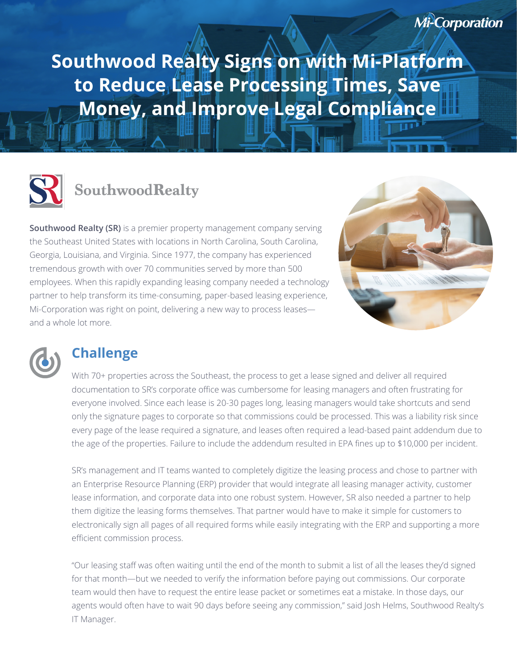**Southwood Realty Signs on with Mi-Platform to Reduce Lease Processing Times, Save Money, and Improve Legal Compliance** 



# SouthwoodRealty

**Southwood Realty (SR)** is a premier property management company serving the Southeast United States with locations in North Carolina, South Carolina, Georgia, Louisiana, and Virginia. Since 1977, the company has experienced tremendous growth with over 70 communities served by more than 500 employees. When this rapidly expanding leasing company needed a technology partner to help transform its time-consuming, paper-based leasing experience, Mi-Corporation was right on point, delivering a new way to process leases and a whole lot more.





## **Challenge**

With 70+ properties across the Southeast, the process to get a lease signed and deliver all required documentation to SR's corporate office was cumbersome for leasing managers and often frustrating for everyone involved. Since each lease is 20-30 pages long, leasing managers would take shortcuts and send only the signature pages to corporate so that commissions could be processed. This was a liability risk since every page of the lease required a signature, and leases often required a lead-based paint addendum due to the age of the properties. Failure to include the addendum resulted in EPA fines up to \$10,000 per incident.

SR's management and IT teams wanted to completely digitize the leasing process and chose to partner with an Enterprise Resource Planning (ERP) provider that would integrate all leasing manager activity, customer lease information, and corporate data into one robust system. However, SR also needed a partner to help them digitize the leasing forms themselves. That partner would have to make it simple for customers to electronically sign all pages of all required forms while easily integrating with the ERP and supporting a more efficient commission process.

"Our leasing staff was often waiting until the end of the month to submit a list of all the leases they'd signed for that month—but we needed to verify the information before paying out commissions. Our corporate team would then have to request the entire lease packet or sometimes eat a mistake. In those days, our agents would often have to wait 90 days before seeing any commission," said Josh Helms, Southwood Realty's IT Manager.